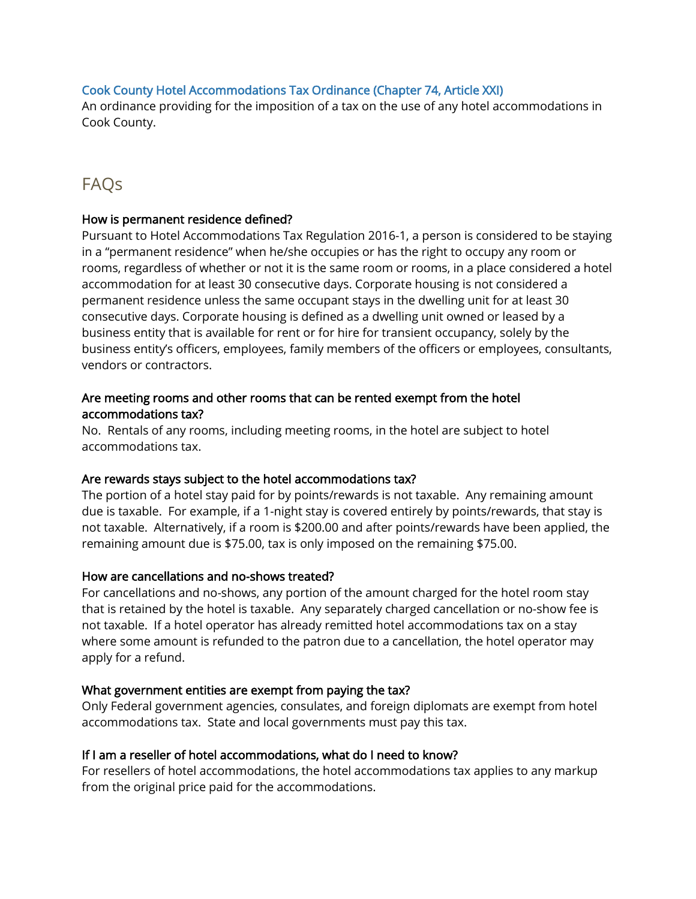## [Cook County Hotel Accommodations Tax Ordinance \(Chapter 74, Article XXI\)](https://library.municode.com/HTML/13805/level3/PTIGEOR_CH74TA_ARTXIIGADIFUTA.html)

An ordinance providing for the imposition of a tax on the use of any hotel accommodations in Cook County.

# FAQs

#### How is permanent residence defined?

Pursuant to Hotel Accommodations Tax Regulation 2016-1, a person is considered to be staying in a "permanent residence" when he/she occupies or has the right to occupy any room or rooms, regardless of whether or not it is the same room or rooms, in a place considered a hotel accommodation for at least 30 consecutive days. Corporate housing is not considered a permanent residence unless the same occupant stays in the dwelling unit for at least 30 consecutive days. Corporate housing is defined as a dwelling unit owned or leased by a business entity that is available for rent or for hire for transient occupancy, solely by the business entity's officers, employees, family members of the officers or employees, consultants, vendors or contractors.

## Are meeting rooms and other rooms that can be rented exempt from the hotel accommodations tax?

No. Rentals of any rooms, including meeting rooms, in the hotel are subject to hotel accommodations tax.

#### Are rewards stays subject to the hotel accommodations tax?

The portion of a hotel stay paid for by points/rewards is not taxable. Any remaining amount due is taxable. For example, if a 1-night stay is covered entirely by points/rewards, that stay is not taxable. Alternatively, if a room is \$200.00 and after points/rewards have been applied, the remaining amount due is \$75.00, tax is only imposed on the remaining \$75.00.

#### How are cancellations and no-shows treated?

For cancellations and no-shows, any portion of the amount charged for the hotel room stay that is retained by the hotel is taxable. Any separately charged cancellation or no-show fee is not taxable. If a hotel operator has already remitted hotel accommodations tax on a stay where some amount is refunded to the patron due to a cancellation, the hotel operator may apply for a refund.

#### What government entities are exempt from paying the tax?

Only Federal government agencies, consulates, and foreign diplomats are exempt from hotel accommodations tax. State and local governments must pay this tax.

#### If I am a reseller of hotel accommodations, what do I need to know?

For resellers of hotel accommodations, the hotel accommodations tax applies to any markup from the original price paid for the accommodations.